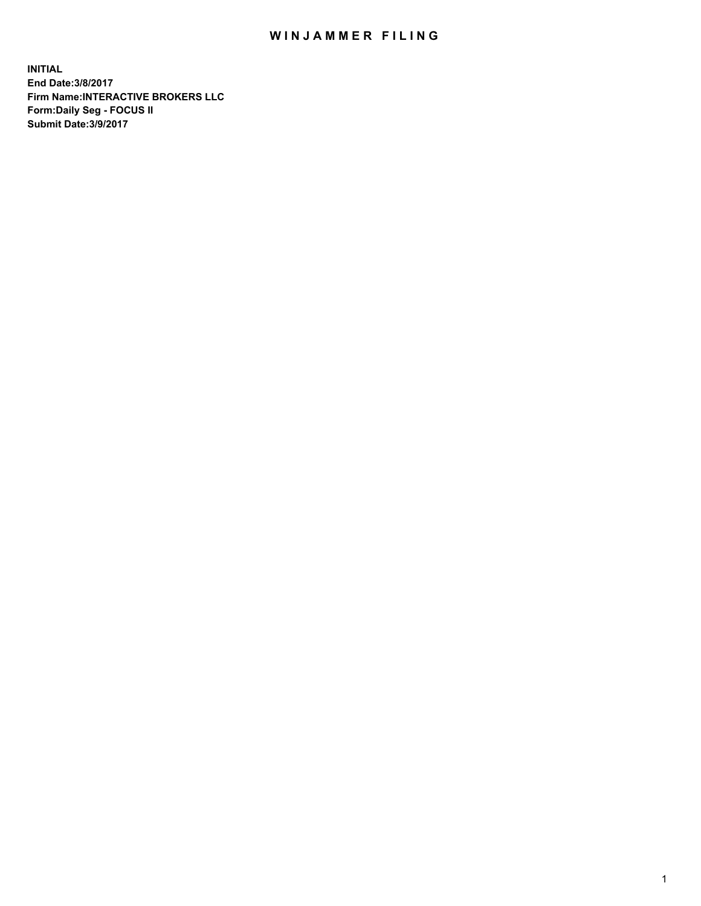## WIN JAMMER FILING

**INITIAL End Date:3/8/2017 Firm Name:INTERACTIVE BROKERS LLC Form:Daily Seg - FOCUS II Submit Date:3/9/2017**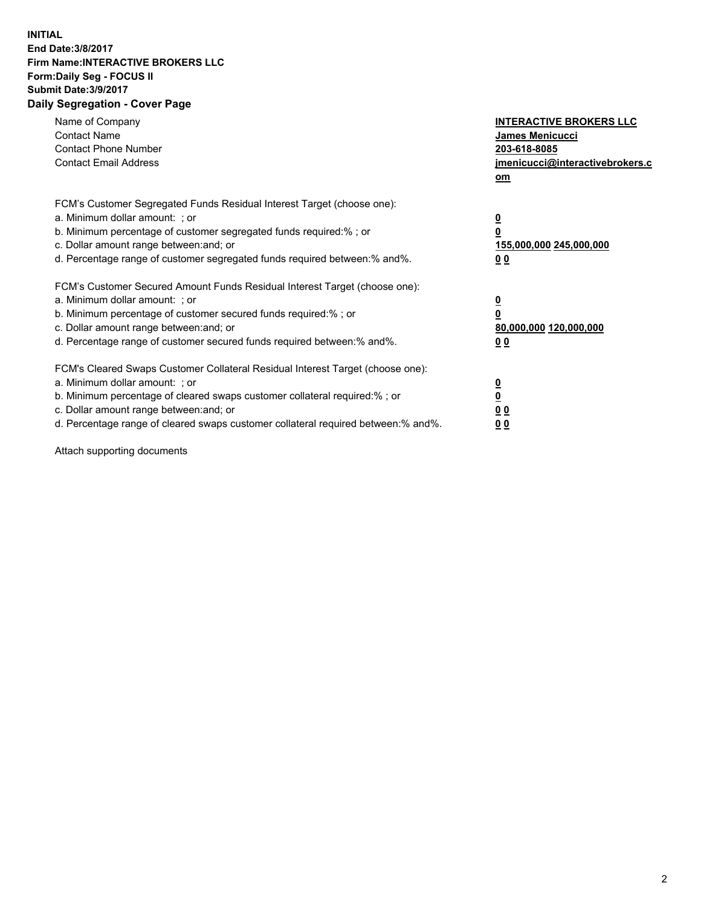## **INITIAL End Date:3/8/2017 Firm Name:INTERACTIVE BROKERS LLC Form:Daily Seg - FOCUS II Submit Date:3/9/2017 Daily Segregation - Cover Page**

| Name of Company<br><b>Contact Name</b><br><b>Contact Phone Number</b><br><b>Contact Email Address</b>                                                                                                                                                                                                                          | <b>INTERACTIVE BROKERS LLC</b><br>James Menicucci<br>203-618-8085<br>jmenicucci@interactivebrokers.c<br>om |
|--------------------------------------------------------------------------------------------------------------------------------------------------------------------------------------------------------------------------------------------------------------------------------------------------------------------------------|------------------------------------------------------------------------------------------------------------|
| FCM's Customer Segregated Funds Residual Interest Target (choose one):<br>a. Minimum dollar amount: ; or<br>b. Minimum percentage of customer segregated funds required:%; or<br>c. Dollar amount range between: and; or<br>d. Percentage range of customer segregated funds required between:% and%.                          | $\overline{\mathbf{0}}$<br>$\overline{\mathbf{0}}$<br>155,000,000 245,000,000<br>00                        |
| FCM's Customer Secured Amount Funds Residual Interest Target (choose one):<br>a. Minimum dollar amount: ; or<br>b. Minimum percentage of customer secured funds required:%; or<br>c. Dollar amount range between: and; or<br>d. Percentage range of customer secured funds required between: % and %.                          | $\overline{\mathbf{0}}$<br>0<br>80,000,000 120,000,000<br>00                                               |
| FCM's Cleared Swaps Customer Collateral Residual Interest Target (choose one):<br>a. Minimum dollar amount: ; or<br>b. Minimum percentage of cleared swaps customer collateral required:% ; or<br>c. Dollar amount range between: and; or<br>d. Percentage range of cleared swaps customer collateral required between:% and%. | $\overline{\mathbf{0}}$<br>$\underline{\mathbf{0}}$<br>0 <sub>0</sub><br>0 <sub>0</sub>                    |

Attach supporting documents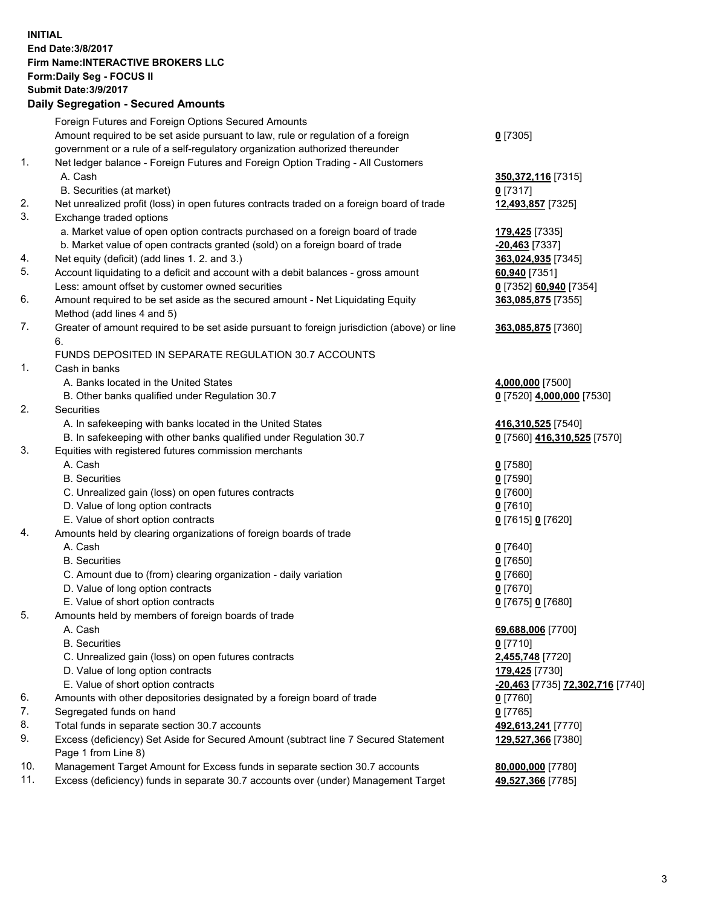## **INITIAL End Date:3/8/2017 Firm Name:INTERACTIVE BROKERS LLC Form:Daily Seg - FOCUS II Submit Date:3/9/2017 Daily Segregation - Secured Amounts**

|     | Foreign Futures and Foreign Options Secured Amounts                                                        |                                  |
|-----|------------------------------------------------------------------------------------------------------------|----------------------------------|
|     | Amount required to be set aside pursuant to law, rule or regulation of a foreign                           | $0$ [7305]                       |
|     | government or a rule of a self-regulatory organization authorized thereunder                               |                                  |
| 1.  | Net ledger balance - Foreign Futures and Foreign Option Trading - All Customers                            |                                  |
|     | A. Cash                                                                                                    | 350, 372, 116 [7315]             |
|     | B. Securities (at market)                                                                                  | $0$ [7317]                       |
| 2.  | Net unrealized profit (loss) in open futures contracts traded on a foreign board of trade                  | 12,493,857 [7325]                |
| 3.  | Exchange traded options                                                                                    |                                  |
|     | a. Market value of open option contracts purchased on a foreign board of trade                             | 179,425 [7335]                   |
|     | b. Market value of open contracts granted (sold) on a foreign board of trade                               | $-20,463$ [7337]                 |
| 4.  | Net equity (deficit) (add lines 1. 2. and 3.)                                                              | 363,024,935 [7345]               |
| 5.  | Account liquidating to a deficit and account with a debit balances - gross amount                          | 60,940 [7351]                    |
|     | Less: amount offset by customer owned securities                                                           | 0 [7352] 60,940 [7354]           |
| 6.  | Amount required to be set aside as the secured amount - Net Liquidating Equity                             | 363,085,875 [7355]               |
|     | Method (add lines 4 and 5)                                                                                 |                                  |
| 7.  | Greater of amount required to be set aside pursuant to foreign jurisdiction (above) or line                | 363,085,875 [7360]               |
|     | 6.                                                                                                         |                                  |
|     | FUNDS DEPOSITED IN SEPARATE REGULATION 30.7 ACCOUNTS                                                       |                                  |
| 1.  | Cash in banks                                                                                              |                                  |
|     | A. Banks located in the United States                                                                      | 4,000,000 [7500]                 |
|     | B. Other banks qualified under Regulation 30.7                                                             | 0 [7520] 4,000,000 [7530]        |
| 2.  | Securities                                                                                                 |                                  |
|     | A. In safekeeping with banks located in the United States                                                  | 416,310,525 [7540]               |
|     | B. In safekeeping with other banks qualified under Regulation 30.7                                         | 0 [7560] 416,310,525 [7570]      |
| 3.  | Equities with registered futures commission merchants                                                      |                                  |
|     | A. Cash                                                                                                    | $0$ [7580]                       |
|     | <b>B.</b> Securities                                                                                       | $0$ [7590]                       |
|     | C. Unrealized gain (loss) on open futures contracts                                                        | $0$ [7600]                       |
|     | D. Value of long option contracts                                                                          | $0$ [7610]                       |
|     | E. Value of short option contracts                                                                         | 0 [7615] 0 [7620]                |
| 4.  | Amounts held by clearing organizations of foreign boards of trade                                          |                                  |
|     | A. Cash                                                                                                    | $0$ [7640]                       |
|     | <b>B.</b> Securities                                                                                       | $0$ [7650]                       |
|     | C. Amount due to (from) clearing organization - daily variation                                            | $0$ [7660]                       |
|     | D. Value of long option contracts                                                                          | $0$ [7670]                       |
|     | E. Value of short option contracts                                                                         | 0 [7675] 0 [7680]                |
| 5.  | Amounts held by members of foreign boards of trade                                                         |                                  |
|     | A. Cash                                                                                                    | 69,688,006 [7700]                |
|     | <b>B.</b> Securities                                                                                       | $0$ [7710]                       |
|     | C. Unrealized gain (loss) on open futures contracts                                                        | 2,455,748 [7720]                 |
|     | D. Value of long option contracts                                                                          | 179,425 [7730]                   |
|     | E. Value of short option contracts                                                                         | -20,463 [7735] 72,302,716 [7740] |
| 6.  | Amounts with other depositories designated by a foreign board of trade                                     | 0 [7760]                         |
| 7.  | Segregated funds on hand                                                                                   | $0$ [7765]                       |
| 8.  | Total funds in separate section 30.7 accounts                                                              | 492,613,241 [7770]               |
| 9.  | Excess (deficiency) Set Aside for Secured Amount (subtract line 7 Secured Statement<br>Page 1 from Line 8) | 129,527,366 [7380]               |
| 10. | Management Target Amount for Excess funds in separate section 30.7 accounts                                | 80,000,000 [7780]                |
| 11. | Excess (deficiency) funds in separate 30.7 accounts over (under) Management Target                         | 49,527,366 [7785]                |
|     |                                                                                                            |                                  |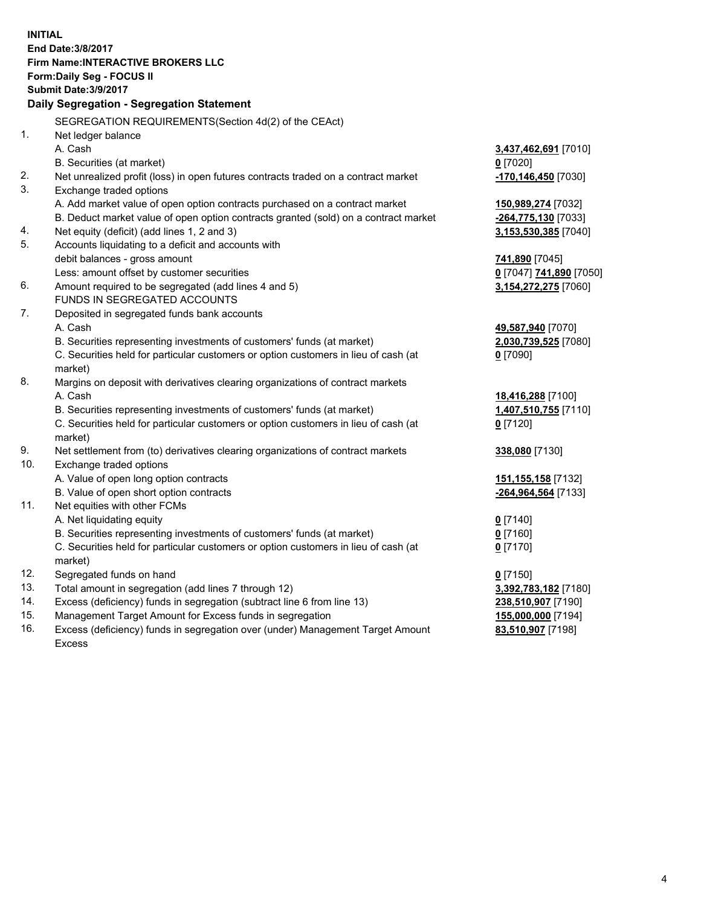**INITIAL End Date:3/8/2017 Firm Name:INTERACTIVE BROKERS LLC Form:Daily Seg - FOCUS II Submit Date:3/9/2017 Daily Segregation - Segregation Statement** SEGREGATION REQUIREMENTS(Section 4d(2) of the CEAct) 1. Net ledger balance A. Cash **3,437,462,691** [7010] B. Securities (at market) **0** [7020] 2. Net unrealized profit (loss) in open futures contracts traded on a contract market **-170,146,450** [7030] 3. Exchange traded options A. Add market value of open option contracts purchased on a contract market **150,989,274** [7032] B. Deduct market value of open option contracts granted (sold) on a contract market **-264,775,130** [7033] 4. Net equity (deficit) (add lines 1, 2 and 3) **3,153,530,385** [7040] 5. Accounts liquidating to a deficit and accounts with debit balances - gross amount **741,890** [7045] Less: amount offset by customer securities **0** [7047] **741,890** [7050] 6. Amount required to be segregated (add lines 4 and 5) **3,154,272,275** [7060] FUNDS IN SEGREGATED ACCOUNTS 7. Deposited in segregated funds bank accounts A. Cash **49,587,940** [7070] B. Securities representing investments of customers' funds (at market) **2,030,739,525** [7080] C. Securities held for particular customers or option customers in lieu of cash (at market) **0** [7090] 8. Margins on deposit with derivatives clearing organizations of contract markets A. Cash **18,416,288** [7100] B. Securities representing investments of customers' funds (at market) **1,407,510,755** [7110] C. Securities held for particular customers or option customers in lieu of cash (at market) **0** [7120] 9. Net settlement from (to) derivatives clearing organizations of contract markets **338,080** [7130] 10. Exchange traded options A. Value of open long option contracts **151,155,158** [7132] B. Value of open short option contracts **-264,964,564** [7133] 11. Net equities with other FCMs A. Net liquidating equity **0** [7140] B. Securities representing investments of customers' funds (at market) **0** [7160] C. Securities held for particular customers or option customers in lieu of cash (at market) **0** [7170] 12. Segregated funds on hand **0** [7150] 13. Total amount in segregation (add lines 7 through 12) **3,392,783,182** [7180] 14. Excess (deficiency) funds in segregation (subtract line 6 from line 13) **238,510,907** [7190] 15. Management Target Amount for Excess funds in segregation **155,000,000** [7194] **83,510,907** [7198]

16. Excess (deficiency) funds in segregation over (under) Management Target Amount Excess